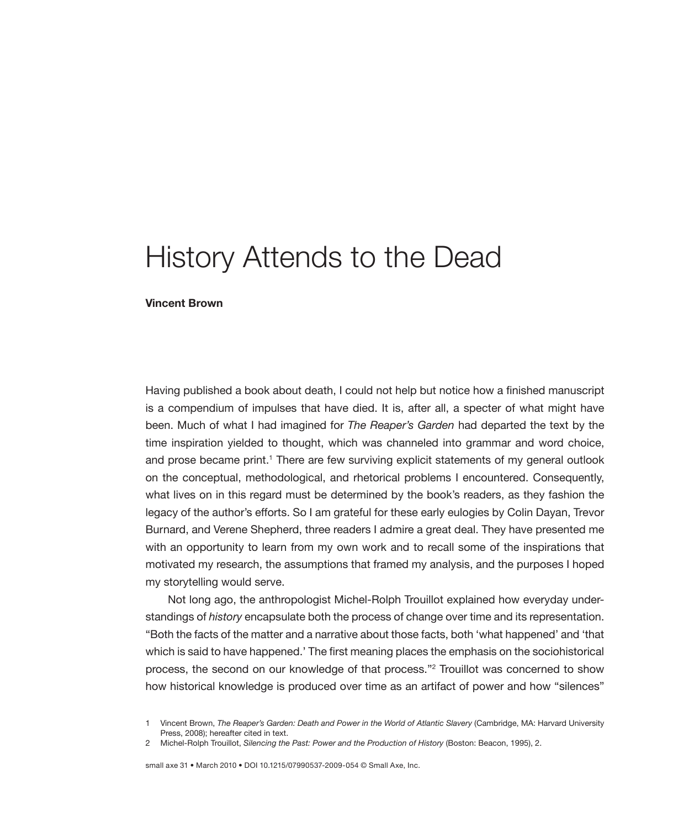## History Attends to the Dead

## **Vincent Brown**

Having published a book about death, I could not help but notice how a finished manuscript is a compendium of impulses that have died. It is, after all, a specter of what might have been. Much of what I had imagined for *The Reaper's Garden* had departed the text by the time inspiration yielded to thought, which was channeled into grammar and word choice, and prose became print.<sup>1</sup> There are few surviving explicit statements of my general outlook on the conceptual, methodological, and rhetorical problems I encountered. Consequently, what lives on in this regard must be determined by the book's readers, as they fashion the legacy of the author's efforts. So I am grateful for these early eulogies by Colin Dayan, Trevor Burnard, and Verene Shepherd, three readers I admire a great deal. They have presented me with an opportunity to learn from my own work and to recall some of the inspirations that motivated my research, the assumptions that framed my analysis, and the purposes I hoped my storytelling would serve.

Not long ago, the anthropologist Michel-Rolph Trouillot explained how everyday understandings of *history* encapsulate both the process of change over time and its representation. "Both the facts of the matter and a narrative about those facts, both 'what happened' and 'that which is said to have happened.' The first meaning places the emphasis on the sociohistorical process, the second on our knowledge of that process."2 Trouillot was concerned to show how historical knowledge is produced over time as an artifact of power and how "silences"

small axe 31 • March 2010 • DOI 10.1215/07990537-2009-054 © Small Axe, Inc.

<sup>1</sup> Vincent Brown, *The Reaper's Garden: Death and Power in the World of Atlantic Slavery* (Cambridge, MA: Harvard University Press, 2008); hereafter cited in text.

<sup>2</sup> Michel-Rolph Trouillot, *Silencing the Past: Power and the Production of History* (Boston: Beacon, 1995), 2.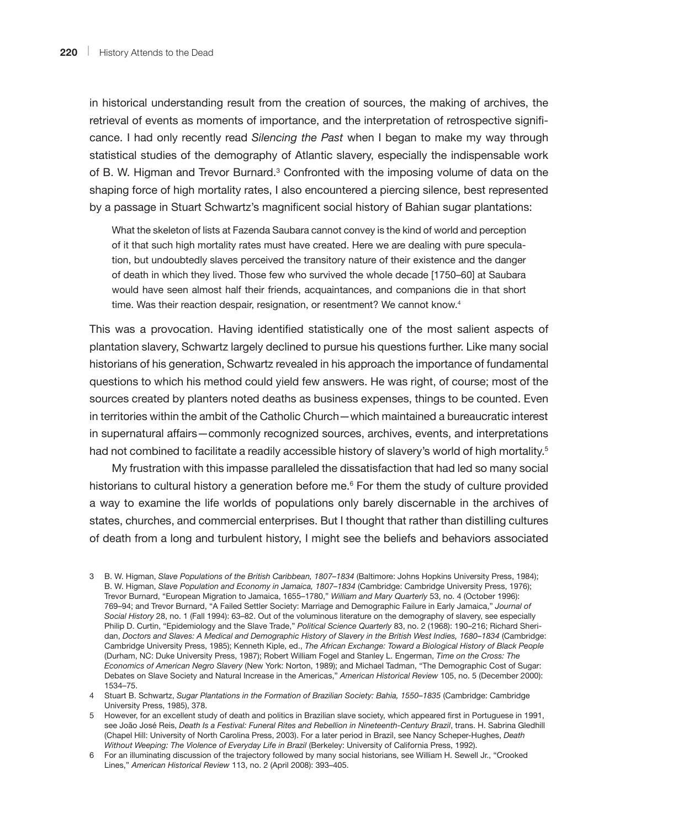in historical understanding result from the creation of sources, the making of archives, the retrieval of events as moments of importance, and the interpretation of retrospective significance. I had only recently read *Silencing the Past* when I began to make my way through statistical studies of the demography of Atlantic slavery, especially the indispensable work of B. W. Higman and Trevor Burnard.<sup>3</sup> Confronted with the imposing volume of data on the shaping force of high mortality rates, I also encountered a piercing silence, best represented by a passage in Stuart Schwartz's magnificent social history of Bahian sugar plantations:

What the skeleton of lists at Fazenda Saubara cannot convey is the kind of world and perception of it that such high mortality rates must have created. Here we are dealing with pure speculation, but undoubtedly slaves perceived the transitory nature of their existence and the danger of death in which they lived. Those few who survived the whole decade [1750–60] at Saubara would have seen almost half their friends, acquaintances, and companions die in that short time. Was their reaction despair, resignation, or resentment? We cannot know.<sup>4</sup>

This was a provocation. Having identified statistically one of the most salient aspects of plantation slavery, Schwartz largely declined to pursue his questions further. Like many social historians of his generation, Schwartz revealed in his approach the importance of fundamental questions to which his method could yield few answers. He was right, of course; most of the sources created by planters noted deaths as business expenses, things to be counted. Even in territories within the ambit of the Catholic Church—which maintained a bureaucratic interest in supernatural affairs—commonly recognized sources, archives, events, and interpretations had not combined to facilitate a readily accessible history of slavery's world of high mortality.<sup>5</sup>

My frustration with this impasse paralleled the dissatisfaction that had led so many social historians to cultural history a generation before me.<sup>6</sup> For them the study of culture provided a way to examine the life worlds of populations only barely discernable in the archives of states, churches, and commercial enterprises. But I thought that rather than distilling cultures of death from a long and turbulent history, I might see the beliefs and behaviors associated

- 3 B. W. Higman, *Slave Populations of the British Caribbean, 1807–1834* (Baltimore: Johns Hopkins University Press, 1984); B. W. Higman, *Slave Population and Economy in Jamaica, 1807–1834* (Cambridge: Cambridge University Press, 1976); Trevor Burnard, "European Migration to Jamaica, 1655–1780," *William and Mary Quarterly* 53, no. 4 (October 1996): 769–94; and Trevor Burnard, "A Failed Settler Society: Marriage and Demographic Failure in Early Jamaica," *Journal of Social History* 28, no. 1 (Fall 1994): 63–82. Out of the voluminous literature on the demography of slavery, see especially Philip D. Curtin, "Epidemiology and the Slave Trade," *Political Science Quarterly* 83, no. 2 (1968): 190–216; Richard Sheridan, *Doctors and Slaves: A Medical and Demographic History of Slavery in the British West Indies, 1680–1834* (Cambridge: Cambridge University Press, 1985); Kenneth Kiple, ed., *The African Exchange: Toward a Biological History of Black People* (Durham, NC: Duke University Press, 1987); Robert William Fogel and Stanley L. Engerman, *Time on the Cross: The Economics of American Negro Slavery* (New York: Norton, 1989); and Michael Tadman, "The Demographic Cost of Sugar: Debates on Slave Society and Natural Increase in the Americas," *American Historical Review* 105, no. 5 (December 2000): 1534–75.
- 4 Stuart B. Schwartz, *Sugar Plantations in the Formation of Brazilian Society: Bahia, 1550–1835* (Cambridge: Cambridge University Press, 1985), 378.
- 5 However, for an excellent study of death and politics in Brazilian slave society, which appeared first in Portuguese in 1991, see João José Reis, *Death Is a Festival: Funeral Rites and Rebellion in Nineteenth-Century Brazil*, trans. H. Sabrina Gledhill (Chapel Hill: University of North Carolina Press, 2003). For a later period in Brazil, see Nancy Scheper-Hughes, *Death Without Weeping: The Violence of Everyday Life in Brazil* (Berkeley: University of California Press, 1992).
- 6 For an illuminating discussion of the trajectory followed by many social historians, see William H. Sewell Jr., "Crooked Lines," *American Historical Review* 113, no. 2 (April 2008): 393–405.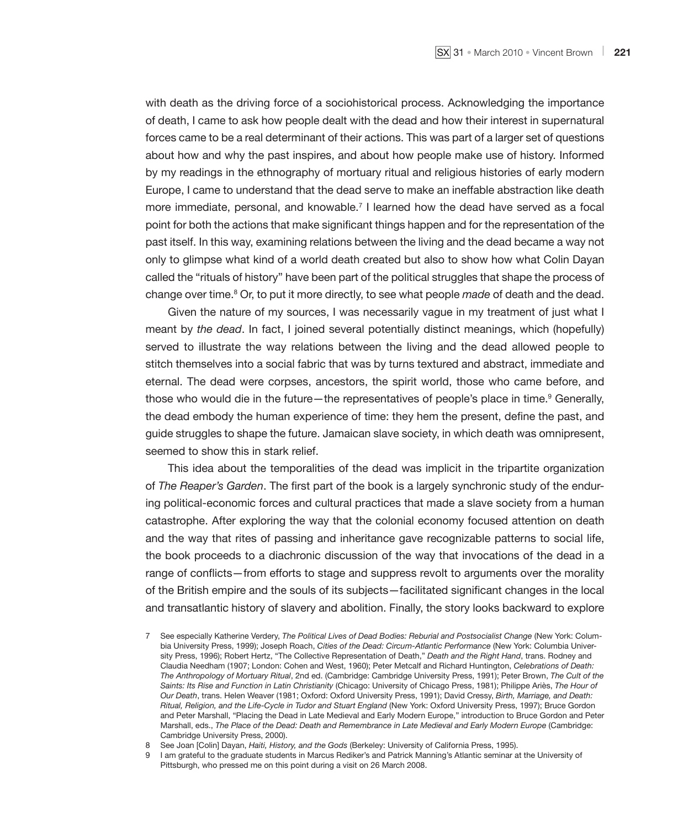with death as the driving force of a sociohistorical process. Acknowledging the importance of death, I came to ask how people dealt with the dead and how their interest in supernatural forces came to be a real determinant of their actions. This was part of a larger set of questions about how and why the past inspires, and about how people make use of history. Informed by my readings in the ethnography of mortuary ritual and religious histories of early modern Europe, I came to understand that the dead serve to make an ineffable abstraction like death more immediate, personal, and knowable.<sup>7</sup> I learned how the dead have served as a focal point for both the actions that make significant things happen and for the representation of the past itself. In this way, examining relations between the living and the dead became a way not only to glimpse what kind of a world death created but also to show how what Colin Dayan called the "rituals of history" have been part of the political struggles that shape the process of change over time.<sup>8</sup> Or, to put it more directly, to see what people *made* of death and the dead.

Given the nature of my sources, I was necessarily vague in my treatment of just what I meant by *the dead*. In fact, I joined several potentially distinct meanings, which (hopefully) served to illustrate the way relations between the living and the dead allowed people to stitch themselves into a social fabric that was by turns textured and abstract, immediate and eternal. The dead were corpses, ancestors, the spirit world, those who came before, and those who would die in the future—the representatives of people's place in time.<sup>9</sup> Generally, the dead embody the human experience of time: they hem the present, define the past, and guide struggles to shape the future. Jamaican slave society, in which death was omnipresent, seemed to show this in stark relief.

This idea about the temporalities of the dead was implicit in the tripartite organization of *The Reaper's Garden*. The first part of the book is a largely synchronic study of the enduring political-economic forces and cultural practices that made a slave society from a human catastrophe. After exploring the way that the colonial economy focused attention on death and the way that rites of passing and inheritance gave recognizable patterns to social life, the book proceeds to a diachronic discussion of the way that invocations of the dead in a range of conflicts—from efforts to stage and suppress revolt to arguments over the morality of the British empire and the souls of its subjects—facilitated significant changes in the local and transatlantic history of slavery and abolition. Finally, the story looks backward to explore

<sup>7</sup> See especially Katherine Verdery, *The Political Lives of Dead Bodies: Reburial and Postsocialist Change* (New York: Columbia University Press, 1999); Joseph Roach, *Cities of the Dead: Circum-Atlantic Performance* (New York: Columbia University Press, 1996); Robert Hertz, "The Collective Representation of Death," *Death and the Right Hand*, trans. Rodney and Claudia Needham (1907; London: Cohen and West, 1960); Peter Metcalf and Richard Huntington, *Celebrations of Death: The Anthropology of Mortuary Ritual*, 2nd ed. (Cambridge: Cambridge University Press, 1991); Peter Brown, *The Cult of the Saints: Its Rise and Function in Latin Christianity* (Chicago: University of Chicago Press, 1981); Philippe Ariès, *The Hour of Our Death*, trans. Helen Weaver (1981; Oxford: Oxford University Press, 1991); David Cressy, *Birth, Marriage, and Death: Ritual, Religion, and the Life-Cycle in Tudor and Stuart England* (New York: Oxford University Press, 1997); Bruce Gordon and Peter Marshall, "Placing the Dead in Late Medieval and Early Modern Europe," introduction to Bruce Gordon and Peter Marshall, eds., *The Place of the Dead: Death and Remembrance in Late Medieval and Early Modern Europe* (Cambridge: Cambridge University Press, 2000).

<sup>8</sup> See Joan [Colin] Dayan, *Haiti, History, and the Gods* (Berkeley: University of California Press, 1995).

<sup>9</sup> I am grateful to the graduate students in Marcus Rediker's and Patrick Manning's Atlantic seminar at the University of Pittsburgh, who pressed me on this point during a visit on 26 March 2008.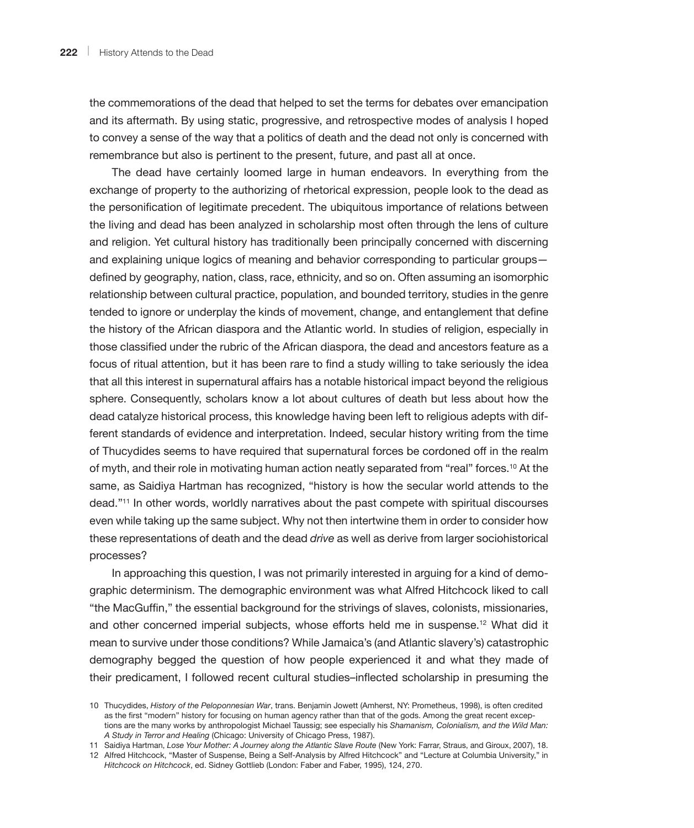the commemorations of the dead that helped to set the terms for debates over emancipation and its aftermath. By using static, progressive, and retrospective modes of analysis I hoped to convey a sense of the way that a politics of death and the dead not only is concerned with remembrance but also is pertinent to the present, future, and past all at once.

The dead have certainly loomed large in human endeavors. In everything from the exchange of property to the authorizing of rhetorical expression, people look to the dead as the personification of legitimate precedent. The ubiquitous importance of relations between the living and dead has been analyzed in scholarship most often through the lens of culture and religion. Yet cultural history has traditionally been principally concerned with discerning and explaining unique logics of meaning and behavior corresponding to particular groups defined by geography, nation, class, race, ethnicity, and so on. Often assuming an isomorphic relationship between cultural practice, population, and bounded territory, studies in the genre tended to ignore or underplay the kinds of movement, change, and entanglement that define the history of the African diaspora and the Atlantic world. In studies of religion, especially in those classified under the rubric of the African diaspora, the dead and ancestors feature as a focus of ritual attention, but it has been rare to find a study willing to take seriously the idea that all this interest in supernatural affairs has a notable historical impact beyond the religious sphere. Consequently, scholars know a lot about cultures of death but less about how the dead catalyze historical process, this knowledge having been left to religious adepts with different standards of evidence and interpretation. Indeed, secular history writing from the time of Thucydides seems to have required that supernatural forces be cordoned off in the realm of myth, and their role in motivating human action neatly separated from "real" forces.<sup>10</sup> At the same, as Saidiya Hartman has recognized, "history is how the secular world attends to the dead."11 In other words, worldly narratives about the past compete with spiritual discourses even while taking up the same subject. Why not then intertwine them in order to consider how these representations of death and the dead *drive* as well as derive from larger sociohistorical processes?

In approaching this question, I was not primarily interested in arguing for a kind of demographic determinism. The demographic environment was what Alfred Hitchcock liked to call "the MacGuffin," the essential background for the strivings of slaves, colonists, missionaries, and other concerned imperial subjects, whose efforts held me in suspense.<sup>12</sup> What did it mean to survive under those conditions? While Jamaica's (and Atlantic slavery's) catastrophic demography begged the question of how people experienced it and what they made of their predicament, I followed recent cultural studies–inflected scholarship in presuming the

<sup>10</sup> Thucydides, *History of the Peloponnesian War*, trans. Benjamin Jowett (Amherst, NY: Prometheus, 1998), is often credited as the first "modern" history for focusing on human agency rather than that of the gods. Among the great recent exceptions are the many works by anthropologist Michael Taussig; see especially his *Shamanism, Colonialism, and the Wild Man: A Study in Terror and Healing* (Chicago: University of Chicago Press, 1987).

<sup>11</sup> Saidiya Hartman, *Lose Your Mother: A Journey along the Atlantic Slave Route* (New York: Farrar, Straus, and Giroux, 2007), 18.

<sup>12</sup> Alfred Hitchcock, "Master of Suspense, Being a Self-Analysis by Alfred Hitchcock" and "Lecture at Columbia University," in *Hitchcock on Hitchcock*, ed. Sidney Gottlieb (London: Faber and Faber, 1995), 124, 270.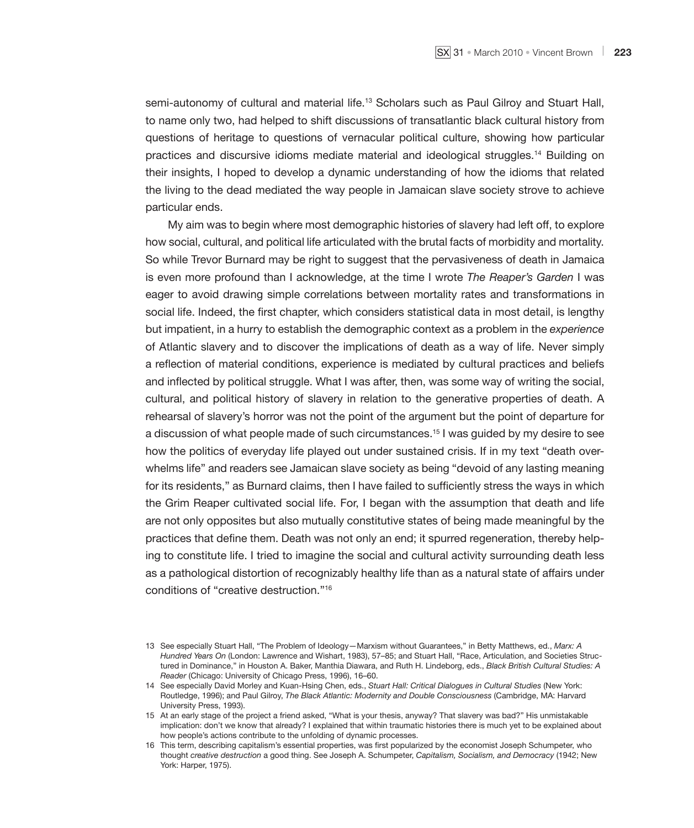semi-autonomy of cultural and material life.<sup>13</sup> Scholars such as Paul Gilroy and Stuart Hall, to name only two, had helped to shift discussions of transatlantic black cultural history from questions of heritage to questions of vernacular political culture, showing how particular practices and discursive idioms mediate material and ideological struggles.14 Building on their insights, I hoped to develop a dynamic understanding of how the idioms that related the living to the dead mediated the way people in Jamaican slave society strove to achieve particular ends.

My aim was to begin where most demographic histories of slavery had left off, to explore how social, cultural, and political life articulated with the brutal facts of morbidity and mortality. So while Trevor Burnard may be right to suggest that the pervasiveness of death in Jamaica is even more profound than I acknowledge, at the time I wrote *The Reaper's Garden* I was eager to avoid drawing simple correlations between mortality rates and transformations in social life. Indeed, the first chapter, which considers statistical data in most detail, is lengthy but impatient, in a hurry to establish the demographic context as a problem in the *experience* of Atlantic slavery and to discover the implications of death as a way of life. Never simply a reflection of material conditions, experience is mediated by cultural practices and beliefs and inflected by political struggle. What I was after, then, was some way of writing the social, cultural, and political history of slavery in relation to the generative properties of death. A rehearsal of slavery's horror was not the point of the argument but the point of departure for a discussion of what people made of such circumstances.15 I was guided by my desire to see how the politics of everyday life played out under sustained crisis. If in my text "death overwhelms life" and readers see Jamaican slave society as being "devoid of any lasting meaning for its residents," as Burnard claims, then I have failed to sufficiently stress the ways in which the Grim Reaper cultivated social life. For, I began with the assumption that death and life are not only opposites but also mutually constitutive states of being made meaningful by the practices that define them. Death was not only an end; it spurred regeneration, thereby helping to constitute life. I tried to imagine the social and cultural activity surrounding death less as a pathological distortion of recognizably healthy life than as a natural state of affairs under conditions of "creative destruction."16

<sup>13</sup> See especially Stuart Hall, "The Problem of Ideology—Marxism without Guarantees," in Betty Matthews, ed., *Marx: A Hundred Years On* (London: Lawrence and Wishart, 1983), 57–85; and Stuart Hall, "Race, Articulation, and Societies Structured in Dominance," in Houston A. Baker, Manthia Diawara, and Ruth H. Lindeborg, eds., *Black British Cultural Studies: A Reader* (Chicago: University of Chicago Press, 1996), 16–60.

<sup>14</sup> See especially David Morley and Kuan-Hsing Chen, eds., *Stuart Hall: Critical Dialogues in Cultural Studies* (New York: Routledge, 1996); and Paul Gilroy, *The Black Atlantic: Modernity and Double Consciousness* (Cambridge, MA: Harvard University Press, 1993).

<sup>15</sup> At an early stage of the project a friend asked, "What is your thesis, anyway? That slavery was bad?" His unmistakable implication: don't we know that already? I explained that within traumatic histories there is much yet to be explained about how people's actions contribute to the unfolding of dynamic processes.

<sup>16</sup> This term, describing capitalism's essential properties, was first popularized by the economist Joseph Schumpeter, who thought *creative destruction* a good thing. See Joseph A. Schumpeter, *Capitalism, Socialism, and Democracy* (1942; New York: Harper, 1975).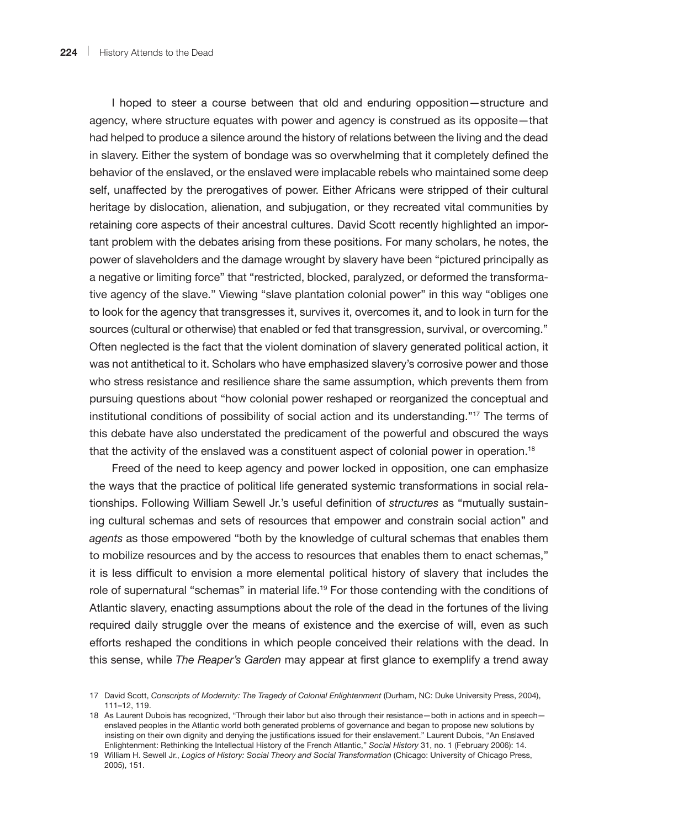I hoped to steer a course between that old and enduring opposition—structure and agency, where structure equates with power and agency is construed as its opposite—that had helped to produce a silence around the history of relations between the living and the dead in slavery. Either the system of bondage was so overwhelming that it completely defined the behavior of the enslaved, or the enslaved were implacable rebels who maintained some deep self, unaffected by the prerogatives of power. Either Africans were stripped of their cultural heritage by dislocation, alienation, and subjugation, or they recreated vital communities by retaining core aspects of their ancestral cultures. David Scott recently highlighted an important problem with the debates arising from these positions. For many scholars, he notes, the power of slaveholders and the damage wrought by slavery have been "pictured principally as a negative or limiting force" that "restricted, blocked, paralyzed, or deformed the transformative agency of the slave." Viewing "slave plantation colonial power" in this way "obliges one to look for the agency that transgresses it, survives it, overcomes it, and to look in turn for the sources (cultural or otherwise) that enabled or fed that transgression, survival, or overcoming." Often neglected is the fact that the violent domination of slavery generated political action, it was not antithetical to it. Scholars who have emphasized slavery's corrosive power and those who stress resistance and resilience share the same assumption, which prevents them from pursuing questions about "how colonial power reshaped or reorganized the conceptual and institutional conditions of possibility of social action and its understanding."<sup>17</sup> The terms of this debate have also understated the predicament of the powerful and obscured the ways that the activity of the enslaved was a constituent aspect of colonial power in operation.18

Freed of the need to keep agency and power locked in opposition, one can emphasize the ways that the practice of political life generated systemic transformations in social relationships. Following William Sewell Jr.'s useful definition of *structures* as "mutually sustaining cultural schemas and sets of resources that empower and constrain social action" and *agents* as those empowered "both by the knowledge of cultural schemas that enables them to mobilize resources and by the access to resources that enables them to enact schemas," it is less difficult to envision a more elemental political history of slavery that includes the role of supernatural "schemas" in material life.<sup>19</sup> For those contending with the conditions of Atlantic slavery, enacting assumptions about the role of the dead in the fortunes of the living required daily struggle over the means of existence and the exercise of will, even as such efforts reshaped the conditions in which people conceived their relations with the dead. In this sense, while *The Reaper's Garden* may appear at first glance to exemplify a trend away

<sup>17</sup> David Scott, *Conscripts of Modernity: The Tragedy of Colonial Enlightenment* (Durham, NC: Duke University Press, 2004), 111–12, 119.

<sup>18</sup> As Laurent Dubois has recognized, "Through their labor but also through their resistance—both in actions and in speech enslaved peoples in the Atlantic world both generated problems of governance and began to propose new solutions by insisting on their own dignity and denying the justifications issued for their enslavement." Laurent Dubois, "An Enslaved Enlightenment: Rethinking the Intellectual History of the French Atlantic," *Social History* 31, no. 1 (February 2006): 14.

<sup>19</sup> William H. Sewell Jr., *Logics of History: Social Theory and Social Transformation* (Chicago: University of Chicago Press, 2005), 151.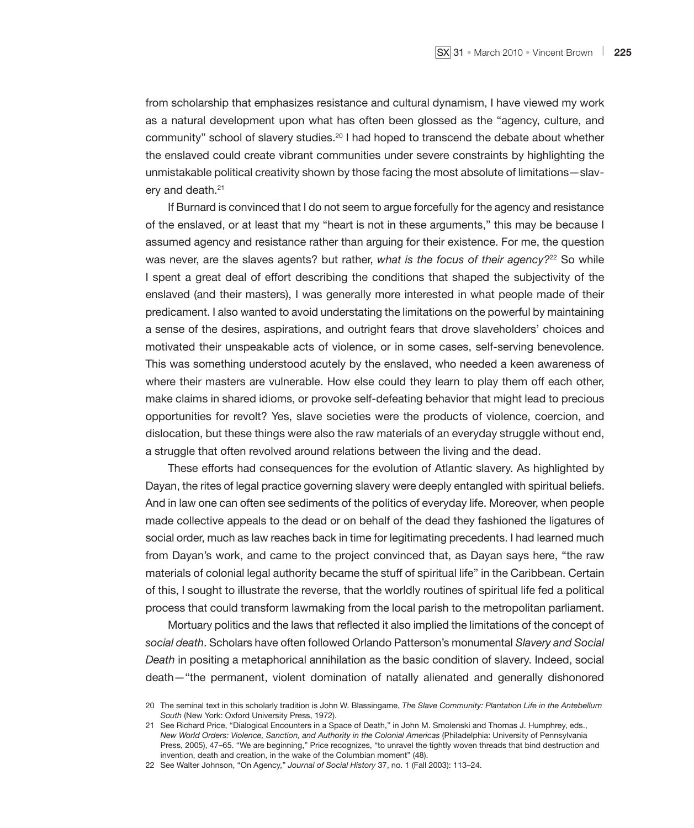from scholarship that emphasizes resistance and cultural dynamism, I have viewed my work as a natural development upon what has often been glossed as the "agency, culture, and community" school of slavery studies.<sup>20</sup> I had hoped to transcend the debate about whether the enslaved could create vibrant communities under severe constraints by highlighting the unmistakable political creativity shown by those facing the most absolute of limitations—slaverv and death.<sup>21</sup>

If Burnard is convinced that I do not seem to argue forcefully for the agency and resistance of the enslaved, or at least that my "heart is not in these arguments," this may be because I assumed agency and resistance rather than arguing for their existence. For me, the question was never, are the slaves agents? but rather, *what is the focus of their agency*?<sup>22</sup> So while I spent a great deal of effort describing the conditions that shaped the subjectivity of the enslaved (and their masters), I was generally more interested in what people made of their predicament. I also wanted to avoid understating the limitations on the powerful by maintaining a sense of the desires, aspirations, and outright fears that drove slaveholders' choices and motivated their unspeakable acts of violence, or in some cases, self-serving benevolence. This was something understood acutely by the enslaved, who needed a keen awareness of where their masters are vulnerable. How else could they learn to play them off each other, make claims in shared idioms, or provoke self-defeating behavior that might lead to precious opportunities for revolt? Yes, slave societies were the products of violence, coercion, and dislocation, but these things were also the raw materials of an everyday struggle without end, a struggle that often revolved around relations between the living and the dead.

These efforts had consequences for the evolution of Atlantic slavery. As highlighted by Dayan, the rites of legal practice governing slavery were deeply entangled with spiritual beliefs. And in law one can often see sediments of the politics of everyday life. Moreover, when people made collective appeals to the dead or on behalf of the dead they fashioned the ligatures of social order, much as law reaches back in time for legitimating precedents. I had learned much from Dayan's work, and came to the project convinced that, as Dayan says here, "the raw materials of colonial legal authority became the stuff of spiritual life" in the Caribbean. Certain of this, I sought to illustrate the reverse, that the worldly routines of spiritual life fed a political process that could transform lawmaking from the local parish to the metropolitan parliament.

Mortuary politics and the laws that reflected it also implied the limitations of the concept of *social death*. Scholars have often followed Orlando Patterson's monumental *Slavery and Social Death* in positing a metaphorical annihilation as the basic condition of slavery. Indeed, social death—"the permanent, violent domination of natally alienated and generally dishonored

<sup>20</sup> The seminal text in this scholarly tradition is John W. Blassingame, *The Slave Community: Plantation Life in the Antebellum South* (New York: Oxford University Press, 1972).

<sup>21</sup> See Richard Price, "Dialogical Encounters in a Space of Death," in John M. Smolenski and Thomas J. Humphrey, eds., *New World Orders: Violence, Sanction, and Authority in the Colonial Americas* (Philadelphia: University of Pennsylvania Press, 2005), 47–65. "We are beginning," Price recognizes, "to unravel the tightly woven threads that bind destruction and invention, death and creation, in the wake of the Columbian moment" (48).

<sup>22</sup> See Walter Johnson, "On Agency," *Journal of Social History* 37, no. 1 (Fall 2003): 113–24.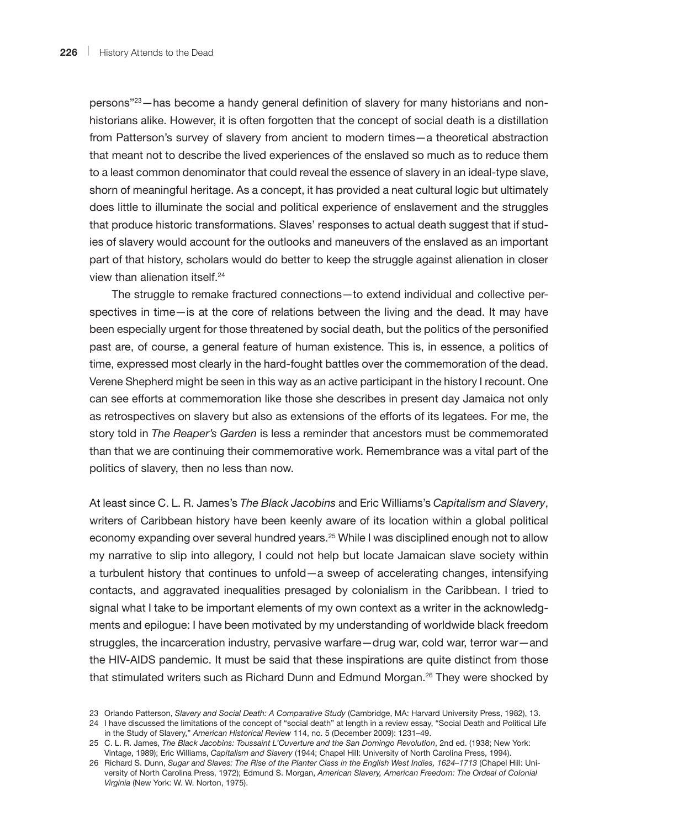persons"23—has become a handy general definition of slavery for many historians and nonhistorians alike. However, it is often forgotten that the concept of social death is a distillation from Patterson's survey of slavery from ancient to modern times—a theoretical abstraction that meant not to describe the lived experiences of the enslaved so much as to reduce them to a least common denominator that could reveal the essence of slavery in an ideal-type slave, shorn of meaningful heritage. As a concept, it has provided a neat cultural logic but ultimately does little to illuminate the social and political experience of enslavement and the struggles that produce historic transformations. Slaves' responses to actual death suggest that if studies of slavery would account for the outlooks and maneuvers of the enslaved as an important part of that history, scholars would do better to keep the struggle against alienation in closer view than alienation itself.<sup>24</sup>

The struggle to remake fractured connections—to extend individual and collective perspectives in time—is at the core of relations between the living and the dead. It may have been especially urgent for those threatened by social death, but the politics of the personified past are, of course, a general feature of human existence. This is, in essence, a politics of time, expressed most clearly in the hard-fought battles over the commemoration of the dead. Verene Shepherd might be seen in this way as an active participant in the history I recount. One can see efforts at commemoration like those she describes in present day Jamaica not only as retrospectives on slavery but also as extensions of the efforts of its legatees. For me, the story told in *The Reaper's Garden* is less a reminder that ancestors must be commemorated than that we are continuing their commemorative work. Remembrance was a vital part of the politics of slavery, then no less than now.

At least since C. L. R. James's *The Black Jacobins* and Eric Williams's *Capitalism and Slavery*, writers of Caribbean history have been keenly aware of its location within a global political economy expanding over several hundred years.<sup>25</sup> While I was disciplined enough not to allow my narrative to slip into allegory, I could not help but locate Jamaican slave society within a turbulent history that continues to unfold—a sweep of accelerating changes, intensifying contacts, and aggravated inequalities presaged by colonialism in the Caribbean. I tried to signal what I take to be important elements of my own context as a writer in the acknowledgments and epilogue: I have been motivated by my understanding of worldwide black freedom struggles, the incarceration industry, pervasive warfare—drug war, cold war, terror war—and the HIV-AIDS pandemic. It must be said that these inspirations are quite distinct from those that stimulated writers such as Richard Dunn and Edmund Morgan.<sup>26</sup> They were shocked by

<sup>23</sup> Orlando Patterson, *Slavery and Social Death: A Comparative Study* (Cambridge, MA: Harvard University Press, 1982), 13.

<sup>24</sup> I have discussed the limitations of the concept of "social death" at length in a review essay, "Social Death and Political Life in the Study of Slavery," *American Historical Review* 114, no. 5 (December 2009): 1231–49.

<sup>25</sup> C. L. R. James, *The Black Jacobins: Toussaint L'Ouverture and the San Domingo Revolution*, 2nd ed. (1938; New York: Vintage, 1989); Eric Williams, *Capitalism and Slavery* (1944; Chapel Hill: University of North Carolina Press, 1994).

<sup>26</sup> Richard S. Dunn, *Sugar and Slaves: The Rise of the Planter Class in the English West Indies, 1624–1713* (Chapel Hill: University of North Carolina Press, 1972); Edmund S. Morgan, *American Slavery, American Freedom: The Ordeal of Colonial Virginia* (New York: W. W. Norton, 1975).